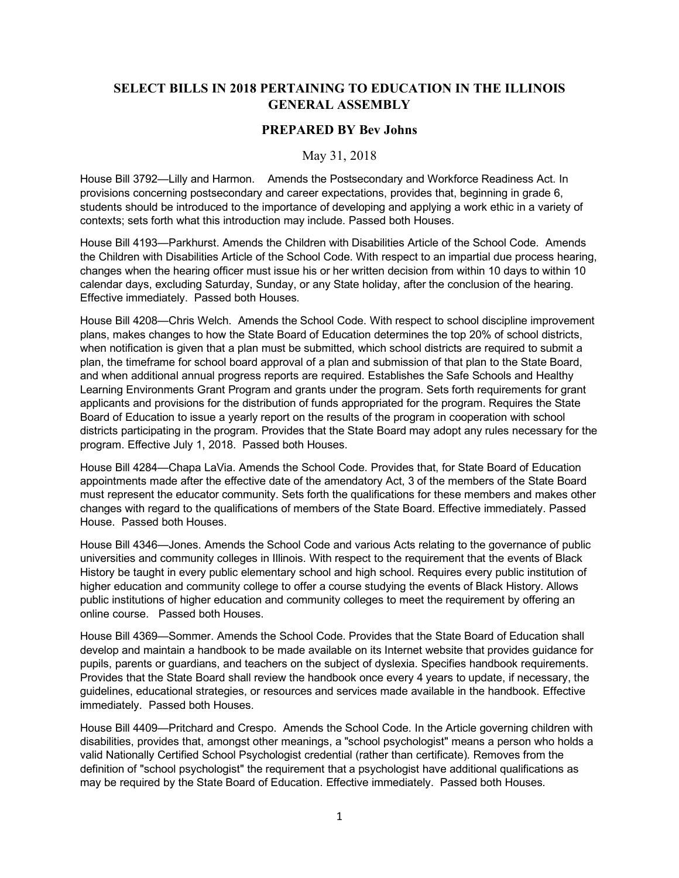## **SELECT BILLS IN 2018 PERTAINING TO EDUCATION IN THE ILLINOIS GENERAL ASSEMBLY**

## **PREPARED BY Bev Johns**

## May 31, 2018

House Bill 3792—Lilly and Harmon. Amends the Postsecondary and Workforce Readiness Act. In provisions concerning postsecondary and career expectations, provides that, beginning in grade 6, students should be introduced to the importance of developing and applying a work ethic in a variety of contexts; sets forth what this introduction may include. Passed both Houses.

House Bill 4193—Parkhurst. Amends the Children with Disabilities Article of the School Code. Amends the Children with Disabilities Article of the School Code. With respect to an impartial due process hearing, changes when the hearing officer must issue his or her written decision from within 10 days to within 10 calendar days, excluding Saturday, Sunday, or any State holiday, after the conclusion of the hearing. Effective immediately. Passed both Houses.

House Bill 4208—Chris Welch. Amends the School Code. With respect to school discipline improvement plans, makes changes to how the State Board of Education determines the top 20% of school districts, when notification is given that a plan must be submitted, which school districts are required to submit a plan, the timeframe for school board approval of a plan and submission of that plan to the State Board, and when additional annual progress reports are required. Establishes the Safe Schools and Healthy Learning Environments Grant Program and grants under the program. Sets forth requirements for grant applicants and provisions for the distribution of funds appropriated for the program. Requires the State Board of Education to issue a yearly report on the results of the program in cooperation with school districts participating in the program. Provides that the State Board may adopt any rules necessary for the program. Effective July 1, 2018. Passed both Houses.

House Bill 4284—Chapa LaVia. Amends the School Code. Provides that, for State Board of Education appointments made after the effective date of the amendatory Act, 3 of the members of the State Board must represent the educator community. Sets forth the qualifications for these members and makes other changes with regard to the qualifications of members of the State Board. Effective immediately. Passed House. Passed both Houses.

House Bill 4346—Jones. Amends the School Code and various Acts relating to the governance of public universities and community colleges in Illinois. With respect to the requirement that the events of Black History be taught in every public elementary school and high school. Requires every public institution of higher education and community college to offer a course studying the events of Black History. Allows public institutions of higher education and community colleges to meet the requirement by offering an online course. Passed both Houses.

House Bill 4369—Sommer. Amends the School Code. Provides that the State Board of Education shall develop and maintain a handbook to be made available on its Internet website that provides guidance for pupils, parents or guardians, and teachers on the subject of dyslexia. Specifies handbook requirements. Provides that the State Board shall review the handbook once every 4 years to update, if necessary, the guidelines, educational strategies, or resources and services made available in the handbook. Effective immediately. Passed both Houses.

House Bill 4409—Pritchard and Crespo. Amends the School Code. In the Article governing children with disabilities, provides that, amongst other meanings, a "school psychologist" means a person who holds a valid Nationally Certified School Psychologist credential (rather than certificate). Removes from the definition of "school psychologist" the requirement that a psychologist have additional qualifications as may be required by the State Board of Education. Effective immediately. Passed both Houses.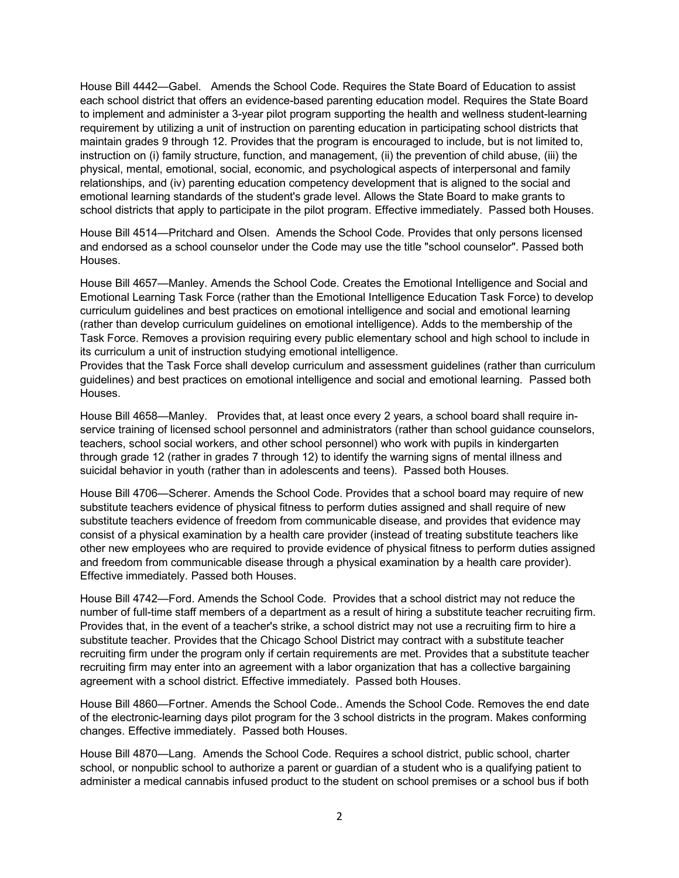House Bill 4442—Gabel. Amends the School Code. Requires the State Board of Education to assist each school district that offers an evidence-based parenting education model. Requires the State Board to implement and administer a 3-year pilot program supporting the health and wellness student-learning requirement by utilizing a unit of instruction on parenting education in participating school districts that maintain grades 9 through 12. Provides that the program is encouraged to include, but is not limited to, instruction on (i) family structure, function, and management, (ii) the prevention of child abuse, (iii) the physical, mental, emotional, social, economic, and psychological aspects of interpersonal and family relationships, and (iv) parenting education competency development that is aligned to the social and emotional learning standards of the student's grade level. Allows the State Board to make grants to school districts that apply to participate in the pilot program. Effective immediately. Passed both Houses.

House Bill 4514—Pritchard and Olsen. Amends the School Code. Provides that only persons licensed and endorsed as a school counselor under the Code may use the title "school counselor". Passed both Houses.

House Bill 4657—Manley. Amends the School Code. Creates the Emotional Intelligence and Social and Emotional Learning Task Force (rather than the Emotional Intelligence Education Task Force) to develop curriculum guidelines and best practices on emotional intelligence and social and emotional learning (rather than develop curriculum guidelines on emotional intelligence). Adds to the membership of the Task Force. Removes a provision requiring every public elementary school and high school to include in its curriculum a unit of instruction studying emotional intelligence.

Provides that the Task Force shall develop curriculum and assessment guidelines (rather than curriculum guidelines) and best practices on emotional intelligence and social and emotional learning. Passed both Houses.

House Bill 4658—Manley. Provides that, at least once every 2 years, a school board shall require inservice training of licensed school personnel and administrators (rather than school guidance counselors, teachers, school social workers, and other school personnel) who work with pupils in kindergarten through grade 12 (rather in grades 7 through 12) to identify the warning signs of mental illness and suicidal behavior in youth (rather than in adolescents and teens). Passed both Houses.

House Bill 4706—Scherer. Amends the School Code. Provides that a school board may require of new substitute teachers evidence of physical fitness to perform duties assigned and shall require of new substitute teachers evidence of freedom from communicable disease, and provides that evidence may consist of a physical examination by a health care provider (instead of treating substitute teachers like other new employees who are required to provide evidence of physical fitness to perform duties assigned and freedom from communicable disease through a physical examination by a health care provider). Effective immediately. Passed both Houses.

House Bill 4742—Ford. Amends the School Code. Provides that a school district may not reduce the number of full-time staff members of a department as a result of hiring a substitute teacher recruiting firm. Provides that, in the event of a teacher's strike, a school district may not use a recruiting firm to hire a substitute teacher. Provides that the Chicago School District may contract with a substitute teacher recruiting firm under the program only if certain requirements are met. Provides that a substitute teacher recruiting firm may enter into an agreement with a labor organization that has a collective bargaining agreement with a school district. Effective immediately. Passed both Houses.

House Bill 4860—Fortner. Amends the School Code.. Amends the School Code. Removes the end date of the electronic-learning days pilot program for the 3 school districts in the program. Makes conforming changes. Effective immediately. Passed both Houses.

House Bill 4870—Lang. Amends the School Code. Requires a school district, public school, charter school, or nonpublic school to authorize a parent or guardian of a student who is a qualifying patient to administer a medical cannabis infused product to the student on school premises or a school bus if both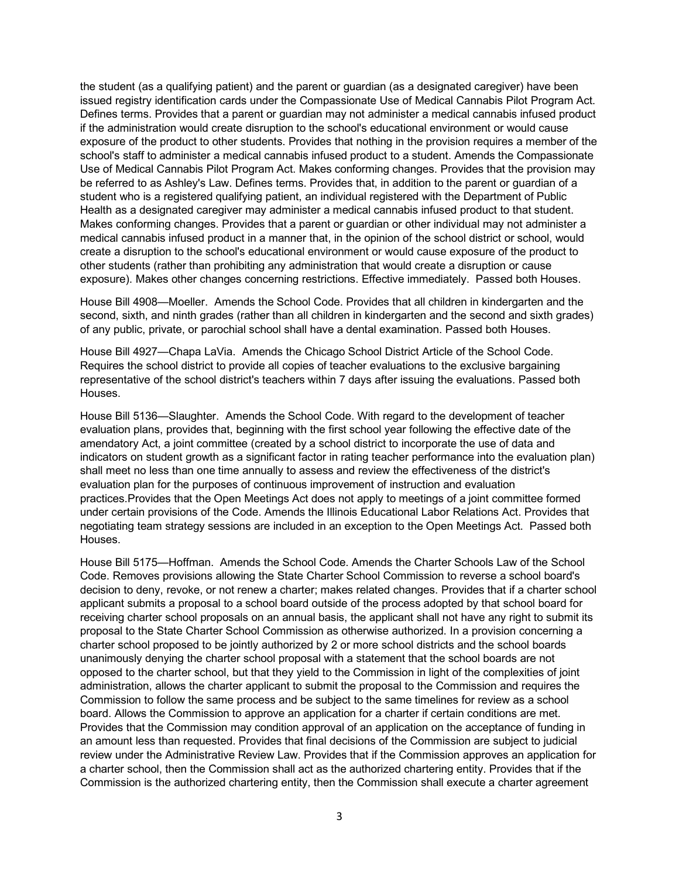the student (as a qualifying patient) and the parent or guardian (as a designated caregiver) have been issued registry identification cards under the Compassionate Use of Medical Cannabis Pilot Program Act. Defines terms. Provides that a parent or guardian may not administer a medical cannabis infused product if the administration would create disruption to the school's educational environment or would cause exposure of the product to other students. Provides that nothing in the provision requires a member of the school's staff to administer a medical cannabis infused product to a student. Amends the Compassionate Use of Medical Cannabis Pilot Program Act. Makes conforming changes. Provides that the provision may be referred to as Ashley's Law. Defines terms. Provides that, in addition to the parent or guardian of a student who is a registered qualifying patient, an individual registered with the Department of Public Health as a designated caregiver may administer a medical cannabis infused product to that student. Makes conforming changes. Provides that a parent or guardian or other individual may not administer a medical cannabis infused product in a manner that, in the opinion of the school district or school, would create a disruption to the school's educational environment or would cause exposure of the product to other students (rather than prohibiting any administration that would create a disruption or cause exposure). Makes other changes concerning restrictions. Effective immediately. Passed both Houses.

House Bill 4908—Moeller. Amends the School Code. Provides that all children in kindergarten and the second, sixth, and ninth grades (rather than all children in kindergarten and the second and sixth grades) of any public, private, or parochial school shall have a dental examination. Passed both Houses.

House Bill 4927—Chapa LaVia. Amends the Chicago School District Article of the School Code. Requires the school district to provide all copies of teacher evaluations to the exclusive bargaining representative of the school district's teachers within 7 days after issuing the evaluations. Passed both Houses.

House Bill 5136—Slaughter. Amends the School Code. With regard to the development of teacher evaluation plans, provides that, beginning with the first school year following the effective date of the amendatory Act, a joint committee (created by a school district to incorporate the use of data and indicators on student growth as a significant factor in rating teacher performance into the evaluation plan) shall meet no less than one time annually to assess and review the effectiveness of the district's evaluation plan for the purposes of continuous improvement of instruction and evaluation practices.Provides that the Open Meetings Act does not apply to meetings of a joint committee formed under certain provisions of the Code. Amends the Illinois Educational Labor Relations Act. Provides that negotiating team strategy sessions are included in an exception to the Open Meetings Act. Passed both Houses.

House Bill 5175—Hoffman. Amends the School Code. Amends the Charter Schools Law of the School Code. Removes provisions allowing the State Charter School Commission to reverse a school board's decision to deny, revoke, or not renew a charter; makes related changes. Provides that if a charter school applicant submits a proposal to a school board outside of the process adopted by that school board for receiving charter school proposals on an annual basis, the applicant shall not have any right to submit its proposal to the State Charter School Commission as otherwise authorized. In a provision concerning a charter school proposed to be jointly authorized by 2 or more school districts and the school boards unanimously denying the charter school proposal with a statement that the school boards are not opposed to the charter school, but that they yield to the Commission in light of the complexities of joint administration, allows the charter applicant to submit the proposal to the Commission and requires the Commission to follow the same process and be subject to the same timelines for review as a school board. Allows the Commission to approve an application for a charter if certain conditions are met. Provides that the Commission may condition approval of an application on the acceptance of funding in an amount less than requested. Provides that final decisions of the Commission are subject to judicial review under the Administrative Review Law. Provides that if the Commission approves an application for a charter school, then the Commission shall act as the authorized chartering entity. Provides that if the Commission is the authorized chartering entity, then the Commission shall execute a charter agreement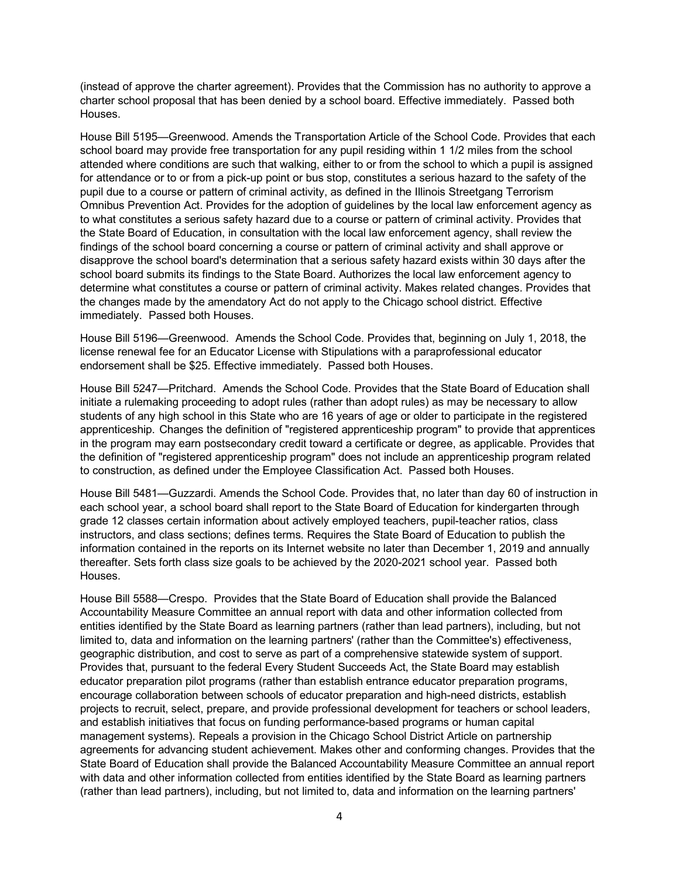(instead of approve the charter agreement). Provides that the Commission has no authority to approve a charter school proposal that has been denied by a school board. Effective immediately. Passed both Houses.

House Bill 5195—Greenwood. Amends the Transportation Article of the School Code. Provides that each school board may provide free transportation for any pupil residing within 1 1/2 miles from the school attended where conditions are such that walking, either to or from the school to which a pupil is assigned for attendance or to or from a pick-up point or bus stop, constitutes a serious hazard to the safety of the pupil due to a course or pattern of criminal activity, as defined in the Illinois Streetgang Terrorism Omnibus Prevention Act. Provides for the adoption of guidelines by the local law enforcement agency as to what constitutes a serious safety hazard due to a course or pattern of criminal activity. Provides that the State Board of Education, in consultation with the local law enforcement agency, shall review the findings of the school board concerning a course or pattern of criminal activity and shall approve or disapprove the school board's determination that a serious safety hazard exists within 30 days after the school board submits its findings to the State Board. Authorizes the local law enforcement agency to determine what constitutes a course or pattern of criminal activity. Makes related changes. Provides that the changes made by the amendatory Act do not apply to the Chicago school district. Effective immediately. Passed both Houses.

House Bill 5196—Greenwood. Amends the School Code. Provides that, beginning on July 1, 2018, the license renewal fee for an Educator License with Stipulations with a paraprofessional educator endorsement shall be \$25. Effective immediately. Passed both Houses.

House Bill 5247—Pritchard. Amends the School Code. Provides that the State Board of Education shall initiate a rulemaking proceeding to adopt rules (rather than adopt rules) as may be necessary to allow students of any high school in this State who are 16 years of age or older to participate in the registered apprenticeship. Changes the definition of "registered apprenticeship program" to provide that apprentices in the program may earn postsecondary credit toward a certificate or degree, as applicable. Provides that the definition of "registered apprenticeship program" does not include an apprenticeship program related to construction, as defined under the Employee Classification Act. Passed both Houses.

House Bill 5481—Guzzardi. Amends the School Code. Provides that, no later than day 60 of instruction in each school year, a school board shall report to the State Board of Education for kindergarten through grade 12 classes certain information about actively employed teachers, pupil-teacher ratios, class instructors, and class sections; defines terms. Requires the State Board of Education to publish the information contained in the reports on its Internet website no later than December 1, 2019 and annually thereafter. Sets forth class size goals to be achieved by the 2020-2021 school year. Passed both Houses.

House Bill 5588—Crespo. Provides that the State Board of Education shall provide the Balanced Accountability Measure Committee an annual report with data and other information collected from entities identified by the State Board as learning partners (rather than lead partners), including, but not limited to, data and information on the learning partners' (rather than the Committee's) effectiveness, geographic distribution, and cost to serve as part of a comprehensive statewide system of support. Provides that, pursuant to the federal Every Student Succeeds Act, the State Board may establish educator preparation pilot programs (rather than establish entrance educator preparation programs, encourage collaboration between schools of educator preparation and high-need districts, establish projects to recruit, select, prepare, and provide professional development for teachers or school leaders, and establish initiatives that focus on funding performance-based programs or human capital management systems). Repeals a provision in the Chicago School District Article on partnership agreements for advancing student achievement. Makes other and conforming changes. Provides that the State Board of Education shall provide the Balanced Accountability Measure Committee an annual report with data and other information collected from entities identified by the State Board as learning partners (rather than lead partners), including, but not limited to, data and information on the learning partners'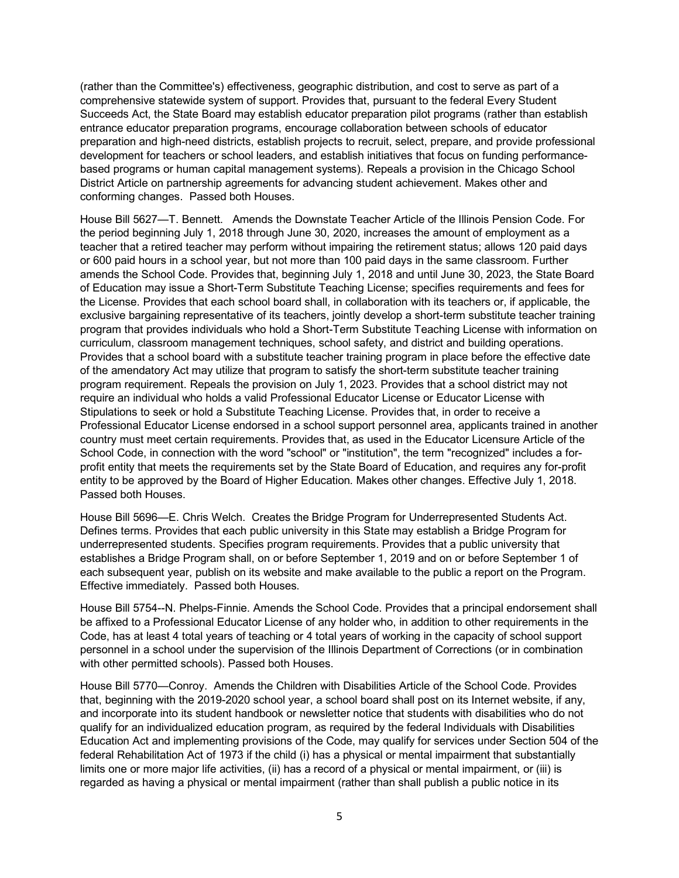(rather than the Committee's) effectiveness, geographic distribution, and cost to serve as part of a comprehensive statewide system of support. Provides that, pursuant to the federal Every Student Succeeds Act, the State Board may establish educator preparation pilot programs (rather than establish entrance educator preparation programs, encourage collaboration between schools of educator preparation and high-need districts, establish projects to recruit, select, prepare, and provide professional development for teachers or school leaders, and establish initiatives that focus on funding performancebased programs or human capital management systems). Repeals a provision in the Chicago School District Article on partnership agreements for advancing student achievement. Makes other and conforming changes. Passed both Houses.

House Bill 5627—T. Bennett. Amends the Downstate Teacher Article of the Illinois Pension Code. For the period beginning July 1, 2018 through June 30, 2020, increases the amount of employment as a teacher that a retired teacher may perform without impairing the retirement status; allows 120 paid days or 600 paid hours in a school year, but not more than 100 paid days in the same classroom. Further amends the School Code. Provides that, beginning July 1, 2018 and until June 30, 2023, the State Board of Education may issue a Short-Term Substitute Teaching License; specifies requirements and fees for the License. Provides that each school board shall, in collaboration with its teachers or, if applicable, the exclusive bargaining representative of its teachers, jointly develop a short-term substitute teacher training program that provides individuals who hold a Short-Term Substitute Teaching License with information on curriculum, classroom management techniques, school safety, and district and building operations. Provides that a school board with a substitute teacher training program in place before the effective date of the amendatory Act may utilize that program to satisfy the short-term substitute teacher training program requirement. Repeals the provision on July 1, 2023. Provides that a school district may not require an individual who holds a valid Professional Educator License or Educator License with Stipulations to seek or hold a Substitute Teaching License. Provides that, in order to receive a Professional Educator License endorsed in a school support personnel area, applicants trained in another country must meet certain requirements. Provides that, as used in the Educator Licensure Article of the School Code, in connection with the word "school" or "institution", the term "recognized" includes a forprofit entity that meets the requirements set by the State Board of Education, and requires any for-profit entity to be approved by the Board of Higher Education. Makes other changes. Effective July 1, 2018. Passed both Houses.

House Bill 5696—E. Chris Welch. Creates the Bridge Program for Underrepresented Students Act. Defines terms. Provides that each public university in this State may establish a Bridge Program for underrepresented students. Specifies program requirements. Provides that a public university that establishes a Bridge Program shall, on or before September 1, 2019 and on or before September 1 of each subsequent year, publish on its website and make available to the public a report on the Program. Effective immediately. Passed both Houses.

House Bill 5754--N. Phelps-Finnie. Amends the School Code. Provides that a principal endorsement shall be affixed to a Professional Educator License of any holder who, in addition to other requirements in the Code, has at least 4 total years of teaching or 4 total years of working in the capacity of school support personnel in a school under the supervision of the Illinois Department of Corrections (or in combination with other permitted schools). Passed both Houses.

House Bill 5770—Conroy. Amends the Children with Disabilities Article of the School Code. Provides that, beginning with the 2019-2020 school year, a school board shall post on its Internet website, if any, and incorporate into its student handbook or newsletter notice that students with disabilities who do not qualify for an individualized education program, as required by the federal Individuals with Disabilities Education Act and implementing provisions of the Code, may qualify for services under Section 504 of the federal Rehabilitation Act of 1973 if the child (i) has a physical or mental impairment that substantially limits one or more major life activities, (ii) has a record of a physical or mental impairment, or (iii) is regarded as having a physical or mental impairment (rather than shall publish a public notice in its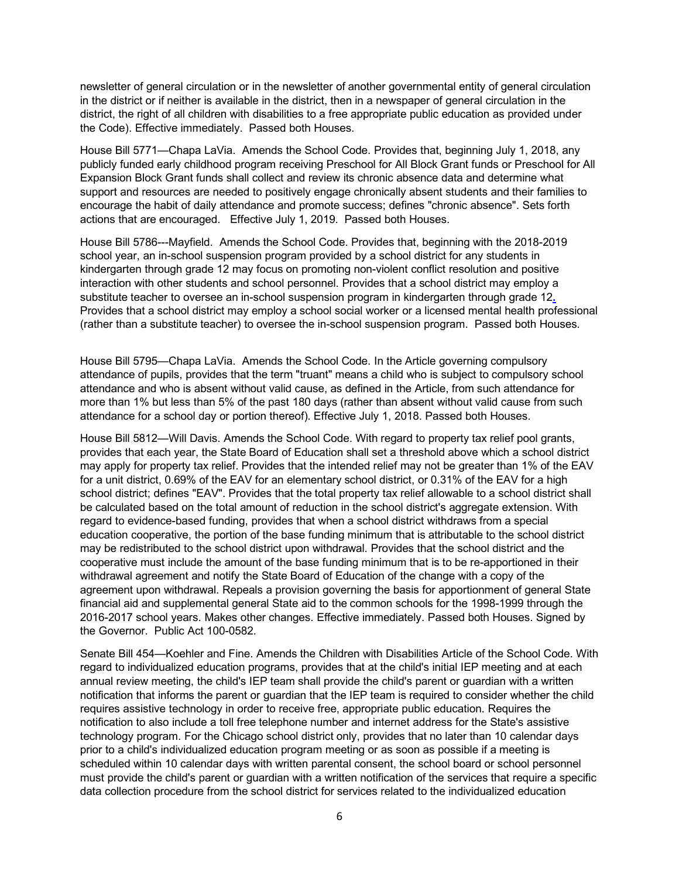newsletter of general circulation or in the newsletter of another governmental entity of general circulation in the district or if neither is available in the district, then in a newspaper of general circulation in the district, the right of all children with disabilities to a free appropriate public education as provided under the Code). Effective immediately. Passed both Houses.

House Bill 5771—Chapa LaVia. Amends the School Code. Provides that, beginning July 1, 2018, any publicly funded early childhood program receiving Preschool for All Block Grant funds or Preschool for All Expansion Block Grant funds shall collect and review its chronic absence data and determine what support and resources are needed to positively engage chronically absent students and their families to encourage the habit of daily attendance and promote success; defines "chronic absence". Sets forth actions that are encouraged. Effective July 1, 2019. Passed both Houses.

House Bill 5786---Mayfield. Amends the School Code. Provides that, beginning with the 2018-2019 school year, an in-school suspension program provided by a school district for any students in kindergarten through grade 12 may focus on promoting non-violent conflict resolution and positive interaction with other students and school personnel. Provides that a school district may employ a substitute teacher to oversee an in-school suspension program in kindergarten through grade 12**.** Provides that a school district may employ a school social worker or a licensed mental health professional (rather than a substitute teacher) to oversee the in-school suspension program. Passed both Houses.

House Bill 5795—Chapa LaVia. Amends the School Code. In the Article governing compulsory attendance of pupils, provides that the term "truant" means a child who is subject to compulsory school attendance and who is absent without valid cause, as defined in the Article, from such attendance for more than 1% but less than 5% of the past 180 days (rather than absent without valid cause from such attendance for a school day or portion thereof). Effective July 1, 2018. Passed both Houses.

House Bill 5812—Will Davis. Amends the School Code. With regard to property tax relief pool grants, provides that each year, the State Board of Education shall set a threshold above which a school district may apply for property tax relief. Provides that the intended relief may not be greater than 1% of the EAV for a unit district, 0.69% of the EAV for an elementary school district, or 0.31% of the EAV for a high school district; defines "EAV". Provides that the total property tax relief allowable to a school district shall be calculated based on the total amount of reduction in the school district's aggregate extension. With regard to evidence-based funding, provides that when a school district withdraws from a special education cooperative, the portion of the base funding minimum that is attributable to the school district may be redistributed to the school district upon withdrawal. Provides that the school district and the cooperative must include the amount of the base funding minimum that is to be re-apportioned in their withdrawal agreement and notify the State Board of Education of the change with a copy of the agreement upon withdrawal. Repeals a provision governing the basis for apportionment of general State financial aid and supplemental general State aid to the common schools for the 1998-1999 through the 2016-2017 school years. Makes other changes. Effective immediately. Passed both Houses. Signed by the Governor. Public Act 100-0582.

Senate Bill 454—Koehler and Fine. Amends the Children with Disabilities Article of the School Code. With regard to individualized education programs, provides that at the child's initial IEP meeting and at each annual review meeting, the child's IEP team shall provide the child's parent or guardian with a written notification that informs the parent or guardian that the IEP team is required to consider whether the child requires assistive technology in order to receive free, appropriate public education. Requires the notification to also include a toll free telephone number and internet address for the State's assistive technology program. For the Chicago school district only, provides that no later than 10 calendar days prior to a child's individualized education program meeting or as soon as possible if a meeting is scheduled within 10 calendar days with written parental consent, the school board or school personnel must provide the child's parent or guardian with a written notification of the services that require a specific data collection procedure from the school district for services related to the individualized education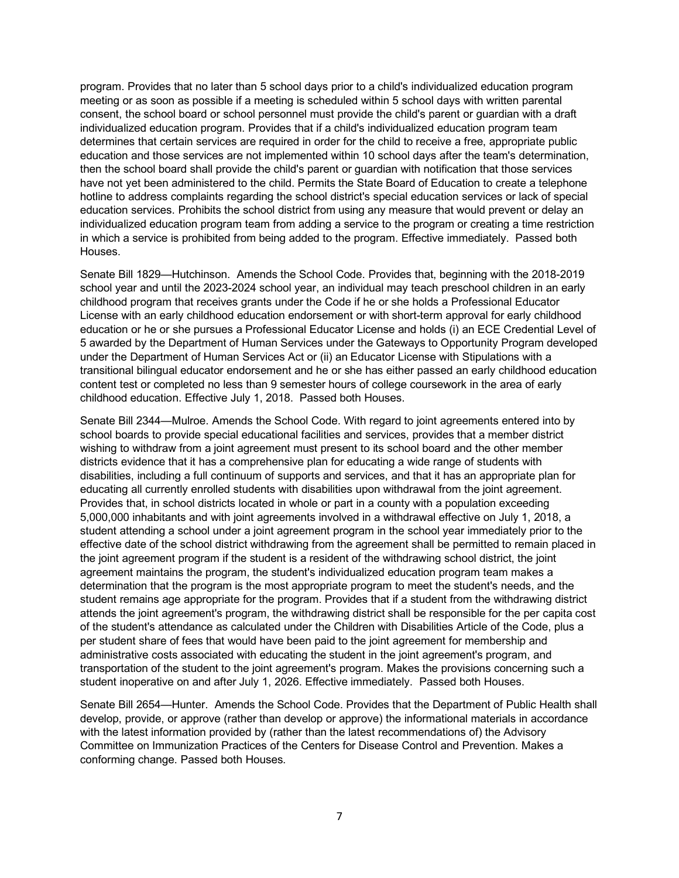program. Provides that no later than 5 school days prior to a child's individualized education program meeting or as soon as possible if a meeting is scheduled within 5 school days with written parental consent, the school board or school personnel must provide the child's parent or guardian with a draft individualized education program. Provides that if a child's individualized education program team determines that certain services are required in order for the child to receive a free, appropriate public education and those services are not implemented within 10 school days after the team's determination, then the school board shall provide the child's parent or guardian with notification that those services have not yet been administered to the child. Permits the State Board of Education to create a telephone hotline to address complaints regarding the school district's special education services or lack of special education services. Prohibits the school district from using any measure that would prevent or delay an individualized education program team from adding a service to the program or creating a time restriction in which a service is prohibited from being added to the program. Effective immediately. Passed both Houses.

Senate Bill 1829—Hutchinson. Amends the School Code. Provides that, beginning with the 2018-2019 school year and until the 2023-2024 school year, an individual may teach preschool children in an early childhood program that receives grants under the Code if he or she holds a Professional Educator License with an early childhood education endorsement or with short-term approval for early childhood education or he or she pursues a Professional Educator License and holds (i) an ECE Credential Level of 5 awarded by the Department of Human Services under the Gateways to Opportunity Program developed under the Department of Human Services Act or (ii) an Educator License with Stipulations with a transitional bilingual educator endorsement and he or she has either passed an early childhood education content test or completed no less than 9 semester hours of college coursework in the area of early childhood education. Effective July 1, 2018. Passed both Houses.

Senate Bill 2344—Mulroe. Amends the School Code. With regard to joint agreements entered into by school boards to provide special educational facilities and services, provides that a member district wishing to withdraw from a joint agreement must present to its school board and the other member districts evidence that it has a comprehensive plan for educating a wide range of students with disabilities, including a full continuum of supports and services, and that it has an appropriate plan for educating all currently enrolled students with disabilities upon withdrawal from the joint agreement. Provides that, in school districts located in whole or part in a county with a population exceeding 5,000,000 inhabitants and with joint agreements involved in a withdrawal effective on July 1, 2018, a student attending a school under a joint agreement program in the school year immediately prior to the effective date of the school district withdrawing from the agreement shall be permitted to remain placed in the joint agreement program if the student is a resident of the withdrawing school district, the joint agreement maintains the program, the student's individualized education program team makes a determination that the program is the most appropriate program to meet the student's needs, and the student remains age appropriate for the program. Provides that if a student from the withdrawing district attends the joint agreement's program, the withdrawing district shall be responsible for the per capita cost of the student's attendance as calculated under the Children with Disabilities Article of the Code, plus a per student share of fees that would have been paid to the joint agreement for membership and administrative costs associated with educating the student in the joint agreement's program, and transportation of the student to the joint agreement's program. Makes the provisions concerning such a student inoperative on and after July 1, 2026. Effective immediately. Passed both Houses.

Senate Bill 2654—Hunter. Amends the School Code. Provides that the Department of Public Health shall develop, provide, or approve (rather than develop or approve) the informational materials in accordance with the latest information provided by (rather than the latest recommendations of) the Advisory Committee on Immunization Practices of the Centers for Disease Control and Prevention. Makes a conforming change. Passed both Houses.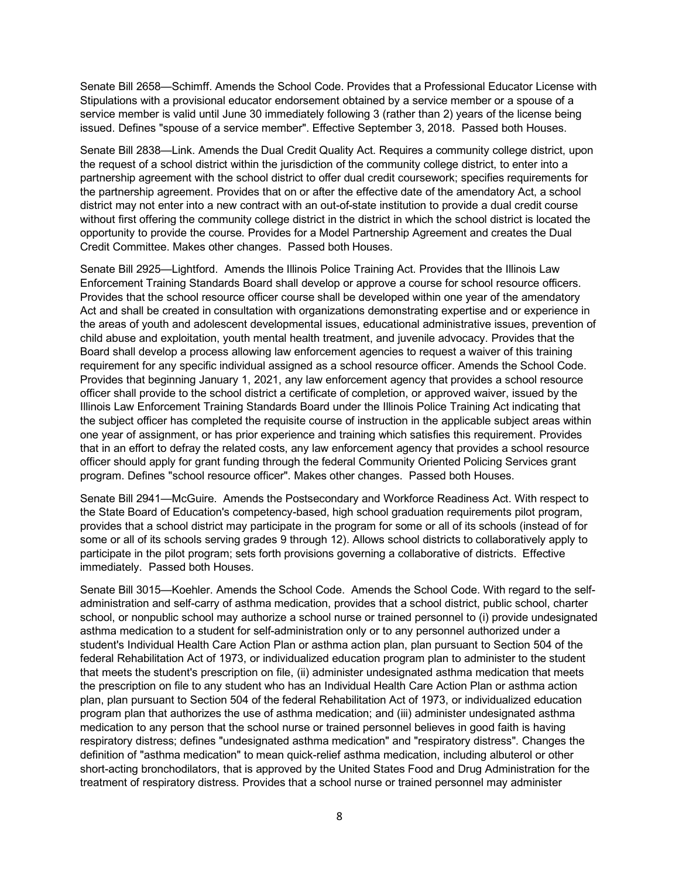Senate Bill 2658—Schimff. Amends the School Code. Provides that a Professional Educator License with Stipulations with a provisional educator endorsement obtained by a service member or a spouse of a service member is valid until June 30 immediately following 3 (rather than 2) years of the license being issued. Defines "spouse of a service member". Effective September 3, 2018. Passed both Houses.

Senate Bill 2838—Link. Amends the Dual Credit Quality Act. Requires a community college district, upon the request of a school district within the jurisdiction of the community college district, to enter into a partnership agreement with the school district to offer dual credit coursework; specifies requirements for the partnership agreement. Provides that on or after the effective date of the amendatory Act, a school district may not enter into a new contract with an out-of-state institution to provide a dual credit course without first offering the community college district in the district in which the school district is located the opportunity to provide the course. Provides for a Model Partnership Agreement and creates the Dual Credit Committee. Makes other changes. Passed both Houses.

Senate Bill 2925—Lightford. Amends the Illinois Police Training Act. Provides that the Illinois Law Enforcement Training Standards Board shall develop or approve a course for school resource officers. Provides that the school resource officer course shall be developed within one year of the amendatory Act and shall be created in consultation with organizations demonstrating expertise and or experience in the areas of youth and adolescent developmental issues, educational administrative issues, prevention of child abuse and exploitation, youth mental health treatment, and juvenile advocacy. Provides that the Board shall develop a process allowing law enforcement agencies to request a waiver of this training requirement for any specific individual assigned as a school resource officer. Amends the School Code. Provides that beginning January 1, 2021, any law enforcement agency that provides a school resource officer shall provide to the school district a certificate of completion, or approved waiver, issued by the Illinois Law Enforcement Training Standards Board under the Illinois Police Training Act indicating that the subject officer has completed the requisite course of instruction in the applicable subject areas within one year of assignment, or has prior experience and training which satisfies this requirement. Provides that in an effort to defray the related costs, any law enforcement agency that provides a school resource officer should apply for grant funding through the federal Community Oriented Policing Services grant program. Defines "school resource officer". Makes other changes. Passed both Houses.

Senate Bill 2941—McGuire. Amends the Postsecondary and Workforce Readiness Act. With respect to the State Board of Education's competency-based, high school graduation requirements pilot program, provides that a school district may participate in the program for some or all of its schools (instead of for some or all of its schools serving grades 9 through 12). Allows school districts to collaboratively apply to participate in the pilot program; sets forth provisions governing a collaborative of districts. Effective immediately. Passed both Houses.

Senate Bill 3015—Koehler. Amends the School Code. Amends the School Code. With regard to the selfadministration and self-carry of asthma medication, provides that a school district, public school, charter school, or nonpublic school may authorize a school nurse or trained personnel to (i) provide undesignated asthma medication to a student for self-administration only or to any personnel authorized under a student's Individual Health Care Action Plan or asthma action plan, plan pursuant to Section 504 of the federal Rehabilitation Act of 1973, or individualized education program plan to administer to the student that meets the student's prescription on file, (ii) administer undesignated asthma medication that meets the prescription on file to any student who has an Individual Health Care Action Plan or asthma action plan, plan pursuant to Section 504 of the federal Rehabilitation Act of 1973, or individualized education program plan that authorizes the use of asthma medication; and (iii) administer undesignated asthma medication to any person that the school nurse or trained personnel believes in good faith is having respiratory distress; defines "undesignated asthma medication" and "respiratory distress". Changes the definition of "asthma medication" to mean quick-relief asthma medication, including albuterol or other short-acting bronchodilators, that is approved by the United States Food and Drug Administration for the treatment of respiratory distress. Provides that a school nurse or trained personnel may administer